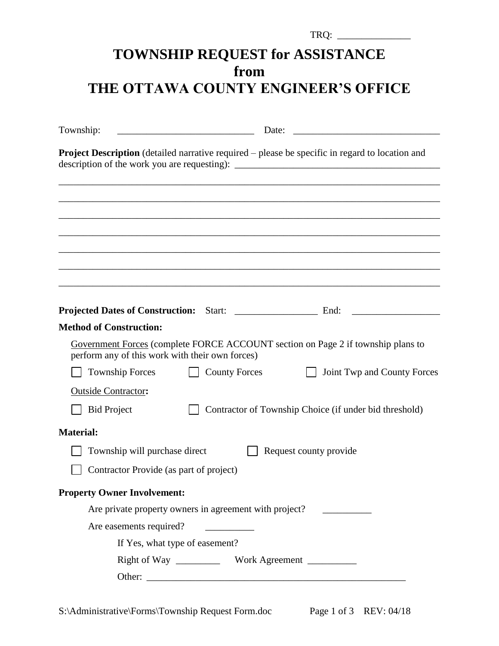## **TOWNSHIP REQUEST for ASSISTANCE from THE OTTAWA COUNTY ENGINEER'S OFFICE**

TRQ: \_\_\_\_\_\_\_\_\_\_\_\_\_\_\_

| Township:<br><u> 1989 - Johann Barbara, martin amerikan basal dan berasal dalam basal dalam basal dalam basal dalam basal dala</u>  | Date:                                                  |
|-------------------------------------------------------------------------------------------------------------------------------------|--------------------------------------------------------|
| <b>Project Description</b> (detailed narrative required – please be specific in regard to location and                              |                                                        |
|                                                                                                                                     |                                                        |
|                                                                                                                                     |                                                        |
|                                                                                                                                     |                                                        |
| <b>Method of Construction:</b>                                                                                                      |                                                        |
| Government Forces (complete FORCE ACCOUNT section on Page 2 if township plans to<br>perform any of this work with their own forces) |                                                        |
| <b>Township Forces</b><br><b>County Forces</b>                                                                                      | Joint Twp and County Forces                            |
| <b>Outside Contractor:</b>                                                                                                          |                                                        |
| <b>Bid Project</b>                                                                                                                  | Contractor of Township Choice (if under bid threshold) |
| <b>Material:</b>                                                                                                                    |                                                        |
| Township will purchase direct                                                                                                       | Request county provide                                 |
| Contractor Provide (as part of project)                                                                                             |                                                        |
| <b>Property Owner Involvement:</b>                                                                                                  |                                                        |
| Are private property owners in agreement with project?                                                                              |                                                        |
| Are easements required?<br><u> 1980 - Andrea Sta</u>                                                                                |                                                        |
| If Yes, what type of easement?                                                                                                      |                                                        |
|                                                                                                                                     |                                                        |
|                                                                                                                                     |                                                        |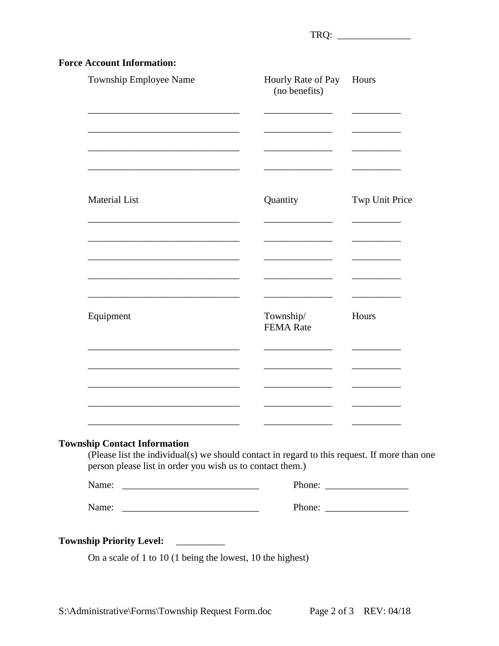| Township Employee Name                                                                                                                                                                           | Hourly Rate of Pay<br>(no benefits) | Hours                                                     |
|--------------------------------------------------------------------------------------------------------------------------------------------------------------------------------------------------|-------------------------------------|-----------------------------------------------------------|
|                                                                                                                                                                                                  |                                     |                                                           |
|                                                                                                                                                                                                  |                                     |                                                           |
| <b>Material List</b>                                                                                                                                                                             | Quantity                            | Twp Unit Price                                            |
|                                                                                                                                                                                                  |                                     |                                                           |
|                                                                                                                                                                                                  |                                     |                                                           |
| Equipment                                                                                                                                                                                        | Township/<br><b>FEMA</b> Rate       | Hours                                                     |
|                                                                                                                                                                                                  |                                     |                                                           |
|                                                                                                                                                                                                  |                                     |                                                           |
| <b>Township Contact Information</b><br>(Please list the individual(s) we should contact in regard to this request. If more than one<br>person please list in order you wish us to contact them.) |                                     |                                                           |
|                                                                                                                                                                                                  |                                     |                                                           |
|                                                                                                                                                                                                  |                                     | Phone: $\frac{1}{\sqrt{1-\frac{1}{2}} \cdot \frac{1}{2}}$ |
| Township Priority Level: _________                                                                                                                                                               |                                     |                                                           |